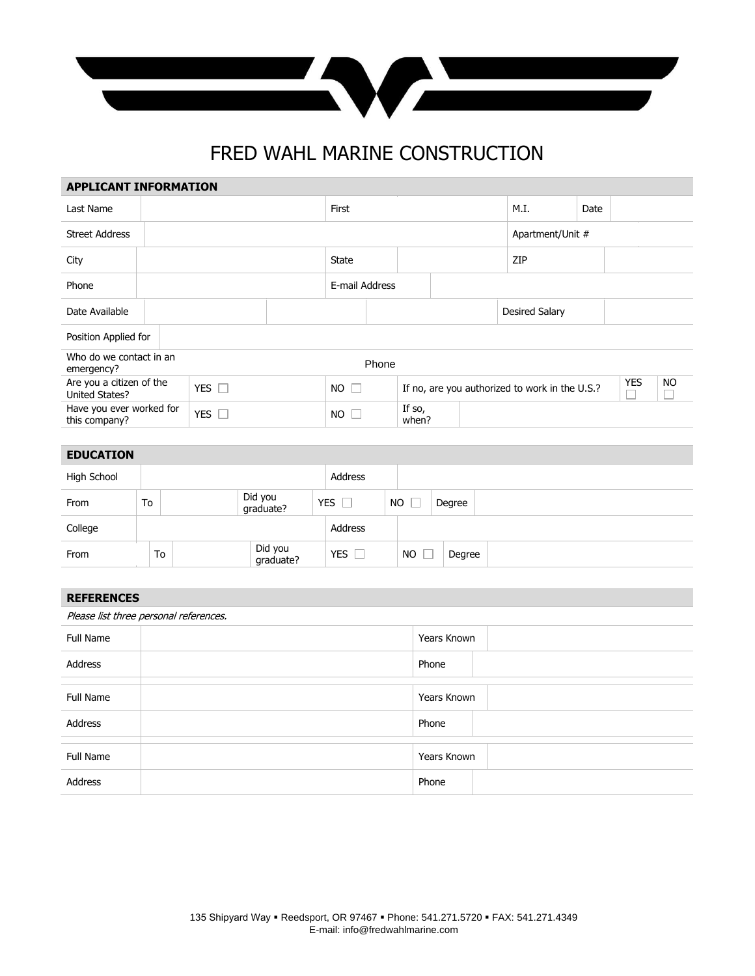

## FRED WAHL MARINE CONSTRUCTION

**APPLICANT INFORMATION**

| <b>APPLICANT INFORMATION</b> |                          |             |                |                                                |                  |            |      |  |  |  |
|------------------------------|--------------------------|-------------|----------------|------------------------------------------------|------------------|------------|------|--|--|--|
|                              |                          |             | First          |                                                |                  | M.I.       | Date |  |  |  |
|                              |                          |             |                |                                                | Apartment/Unit # |            |      |  |  |  |
|                              |                          |             | State          |                                                | ZIP              |            |      |  |  |  |
|                              |                          |             | E-mail Address |                                                |                  |            |      |  |  |  |
|                              |                          |             |                | Desired Salary                                 |                  |            |      |  |  |  |
| Position Applied for         |                          |             |                |                                                |                  |            |      |  |  |  |
|                              |                          |             |                |                                                |                  |            |      |  |  |  |
| YES $\Box$                   |                          | $NO$ $\Box$ |                | If no, are you authorized to work in the U.S.? |                  | <b>YES</b> | NO.  |  |  |  |
| YES $\square$                |                          | $NO$ $\Box$ |                | If so,<br>when?                                |                  |            |      |  |  |  |
|                              | Have you ever worked for |             |                | Phone                                          |                  |            |      |  |  |  |

| <b>EDUCATION</b> |    |                      |            |           |        |  |
|------------------|----|----------------------|------------|-----------|--------|--|
| High School      |    |                      | Address    |           |        |  |
| From             | To | Did you<br>graduate? | YES        | <b>NO</b> | Degree |  |
| College          |    |                      | Address    |           |        |  |
| From             | To | Did you<br>graduate? | <b>YES</b> | NO.       | Degree |  |

| <b>REFERENCES</b>                      |             |  |  |  |  |  |
|----------------------------------------|-------------|--|--|--|--|--|
| Please list three personal references. |             |  |  |  |  |  |
| Full Name                              | Years Known |  |  |  |  |  |
| Address                                | Phone       |  |  |  |  |  |
|                                        |             |  |  |  |  |  |
| Full Name                              | Years Known |  |  |  |  |  |
| Address                                | Phone       |  |  |  |  |  |
|                                        |             |  |  |  |  |  |
| Full Name                              | Years Known |  |  |  |  |  |
| Address                                | Phone       |  |  |  |  |  |